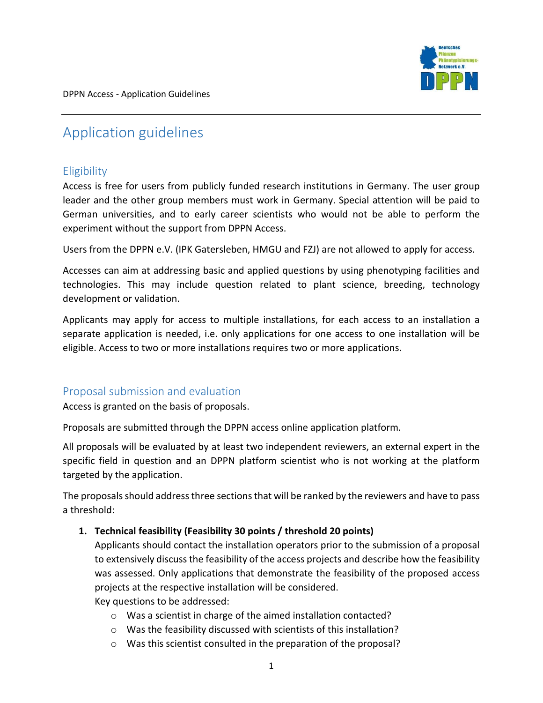

DPPN Access - Application Guidelines

# Application guidelines

# **Eligibility**

Access is free for users from publicly funded research institutions in Germany. The user group leader and the other group members must work in Germany. Special attention will be paid to German universities, and to early career scientists who would not be able to perform the experiment without the support from DPPN Access.

Users from the DPPN e.V. (IPK Gatersleben, HMGU and FZJ) are not allowed to apply for access.

Accesses can aim at addressing basic and applied questions by using phenotyping facilities and technologies. This may include question related to plant science, breeding, technology development or validation.

Applicants may apply for access to multiple installations, for each access to an installation a separate application is needed, i.e. only applications for one access to one installation will be eligible. Access to two or more installations requires two or more applications.

## Proposal submission and evaluation

Access is granted on the basis of proposals.

Proposals are submitted through the DPPN access online application platform*.*

All proposals will be evaluated by at least two independent reviewers, an external expert in the specific field in question and an DPPN platform scientist who is not working at the platform targeted by the application.

The proposals should address three sections that will be ranked by the reviewers and have to pass a threshold:

#### **1. Technical feasibility (Feasibility 30 points / threshold 20 points)**

Applicants should contact the installation operators prior to the submission of a proposal to extensively discuss the feasibility of the access projects and describe how the feasibility was assessed. Only applications that demonstrate the feasibility of the proposed access projects at the respective installation will be considered.

Key questions to be addressed:

- o Was a scientist in charge of the aimed installation contacted?
- o Was the feasibility discussed with scientists of this installation?
- o Was this scientist consulted in the preparation of the proposal?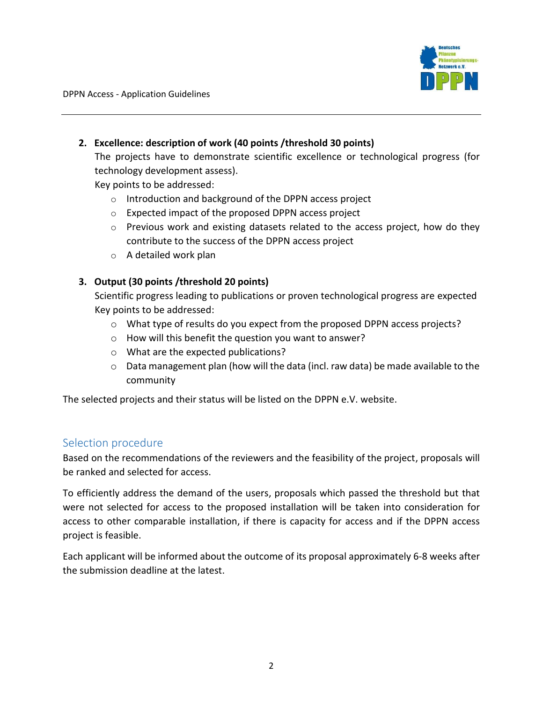

DPPN Access - Application Guidelines

## **2. Excellence: description of work (40 points /threshold 30 points)**

The projects have to demonstrate scientific excellence or technological progress (for technology development assess).

Key points to be addressed:

- o Introduction and background of the DPPN access project
- o Expected impact of the proposed DPPN access project
- $\circ$  Previous work and existing datasets related to the access project, how do they contribute to the success of the DPPN access project
- o A detailed work plan

## **3. Output (30 points /threshold 20 points)**

Scientific progress leading to publications or proven technological progress are expected Key points to be addressed:

- o What type of results do you expect from the proposed DPPN access projects?
- o How will this benefit the question you want to answer?
- o What are the expected publications?
- o Data management plan (how will the data (incl. raw data) be made available to the community

The selected projects and their status will be listed on the DPPN e.V. website.

## Selection procedure

Based on the recommendations of the reviewers and the feasibility of the project, proposals will be ranked and selected for access.

To efficiently address the demand of the users, proposals which passed the threshold but that were not selected for access to the proposed installation will be taken into consideration for access to other comparable installation, if there is capacity for access and if the DPPN access project is feasible.

Each applicant will be informed about the outcome of its proposal approximately 6-8 weeks after the submission deadline at the latest.